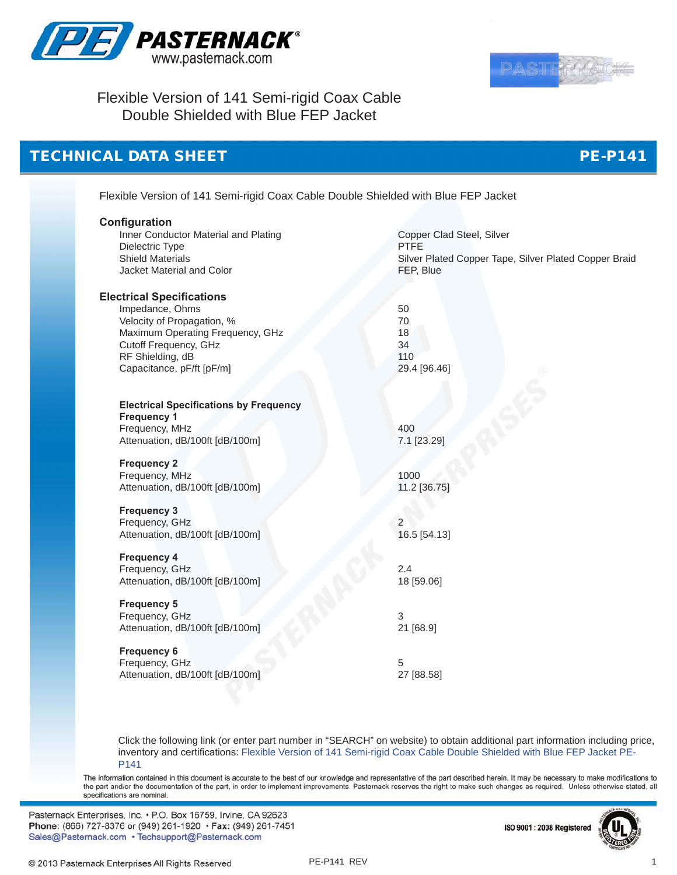



## Flexible Version of 141 Semi-rigid Coax Cable Double Shielded with Blue FEP Jacket

#### **TECHNIC**

| <b>CAL DATA SHEET</b>                                                              | <b>PE-P141</b>                                                                                                                |
|------------------------------------------------------------------------------------|-------------------------------------------------------------------------------------------------------------------------------|
| Flexible Version of 141 Semi-rigid Coax Cable Double Shielded with Blue FEP Jacket |                                                                                                                               |
| Configuration                                                                      |                                                                                                                               |
| Inner Conductor Material and Plating<br>Dielectric Type                            | Copper Clad Steel, Silver<br><b>PTFE</b>                                                                                      |
| <b>Shield Materials</b>                                                            | Silver Plated Copper Tape, Silver Plated Copper Braid                                                                         |
| Jacket Material and Color                                                          | FEP, Blue                                                                                                                     |
| <b>Electrical Specifications</b>                                                   |                                                                                                                               |
| Impedance, Ohms                                                                    | 50                                                                                                                            |
| Velocity of Propagation, %                                                         | 70                                                                                                                            |
| Maximum Operating Frequency, GHz                                                   | 18                                                                                                                            |
| Cutoff Frequency, GHz                                                              | 34<br>110                                                                                                                     |
| RF Shielding, dB<br>Capacitance, pF/ft [pF/m]                                      | 29.4 [96.46]                                                                                                                  |
|                                                                                    |                                                                                                                               |
| <b>Electrical Specifications by Frequency</b>                                      |                                                                                                                               |
| <b>Frequency 1</b>                                                                 |                                                                                                                               |
| Frequency, MHz                                                                     | 400                                                                                                                           |
| Attenuation, dB/100ft [dB/100m]                                                    | 7.1 [23.29]                                                                                                                   |
| <b>Frequency 2</b>                                                                 |                                                                                                                               |
| Frequency, MHz                                                                     | 1000                                                                                                                          |
| Attenuation, dB/100ft [dB/100m]                                                    | 11.2 [36.75]                                                                                                                  |
| <b>Frequency 3</b>                                                                 |                                                                                                                               |
| Frequency, GHz                                                                     | 2                                                                                                                             |
| Attenuation, dB/100ft [dB/100m]                                                    | 16.5 [54.13]                                                                                                                  |
| <b>Frequency 4</b>                                                                 |                                                                                                                               |
| Frequency, GHz                                                                     | 2.4                                                                                                                           |
| Attenuation, dB/100ft [dB/100m]                                                    | 18 [59.06]                                                                                                                    |
| <b>Frequency 5</b>                                                                 |                                                                                                                               |
| Frequency, GHz                                                                     | 3                                                                                                                             |
| Attenuation, dB/100ft [dB/100m]                                                    | 21 [68.9]                                                                                                                     |
| <b>Frequency 6</b>                                                                 |                                                                                                                               |
| Frequency, GHz                                                                     | 5                                                                                                                             |
| Attenuation, dB/100ft [dB/100m]                                                    | 27 [88.58]                                                                                                                    |
|                                                                                    |                                                                                                                               |
|                                                                                    |                                                                                                                               |
|                                                                                    | Click the following link (or enter part number in "SEARCH" on website) to obtain additional part information including price, |
|                                                                                    | inventory and certifications: Flexible Version of 141 Semi-rigid Coax Cable Double Shielded with Blue FEP Jacket PE-          |

The information contained in this document is accurate to the best of our knowledge and representative of the part described herein. It may be necessary to make modifications to the part and/or the documentation of the part, in order to implement improvements. Pasternack reserves the right to make such changes as required. Unless otherwise stated, all<br>specifications are nominal.

Pasternack Enterprises, Inc. • P.O. Box 16759, Irvine, CA 92623 Phone: (866) 727-8376 or (949) 261-1920 • Fax: (949) 261-7451 Sales@Pasternack.com · Techsupport@Pasternack.com



[P141](http://www.pasternack.com/precision-0.163-semirigid-replacement-50-ohm-coax-cable-fep-jacket-pe-p141-p.aspx)

1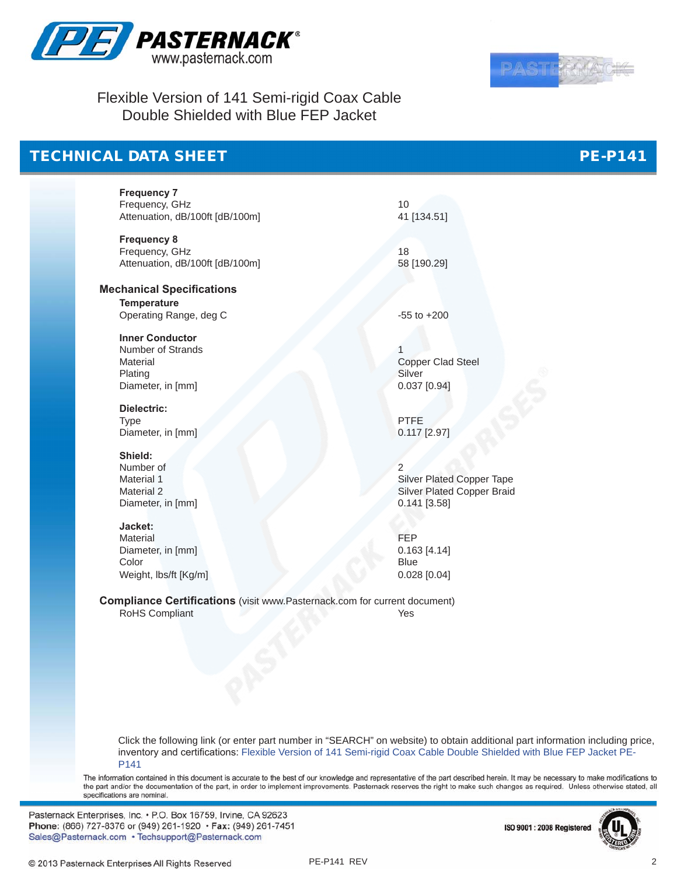

Flexible Version of 141 Semi-rigid Coax Cable Double Shielded with Blue FEP Jacket

# TECHNICAL DATA SHEET

**Frequency 7** Frequency, GHz 10 Attenuation, dB/100ft [dB/100m] 41 [134.51]

**Frequency 8** Frequency, GHz 18 Attenuation, dB/100ft [dB/100m] 58 [190.29]

**Mechanical Specifications Temperature** Operating Range, deg C -55 to +200

**Inner Conductor** Number of Strands 1 Material Copper Clad Steel Plating Silver Diameter, in [mm] 0.037 [0.94]

**Dielectric:** Type PTFE Diameter, in [mm] 0.117 [2.97]

**Shield:** Number of 2<br>Material 1<br>S Diameter, in [mm] 0.141 [3.58]

**Jacket:** Material **FEP** Diameter, in [mm] 0.163 [4.14] Color Blue Weight, lbs/ft [Kg/m] 0.028 [0.04]

Material 1 Silver Plated Copper Tape<br>
Material 2 Silver Plated Copper Tape<br>
Silver Plated Copper Braid Silver Plated Copper Braid

**Compliance Certifications** (visit www.Pasternack.com for current document)<br>RoHS Compliant<br>Yes RoHS Compliant

Click the following link (or enter part number in "SEARCH" on website) to obtain additional part information including price, inventory and certifications: [Flexible Version of 141 Semi-rigid Coax Cable Double Shielded with Blue FEP Jacket PE-](http://www.pasternack.com/precision-0.163-semirigid-replacement-50-ohm-coax-cable-fep-jacket-pe-p141-p.aspx)[P141](http://www.pasternack.com/precision-0.163-semirigid-replacement-50-ohm-coax-cable-fep-jacket-pe-p141-p.aspx)

The information contained in this document is accurate to the best of our knowledge and representative of the part described herein. It may be necessary to make modifications to the part and/or the documentation of the part, in order to implement improvements. Pasternack reserves the right to make such changes as required. Unless otherwise stated, all specifications are nominal

Pasternack Enterprises, Inc. • P.O. Box 16759, Irvine, CA 92623 Phone: (866) 727-8376 or (949) 261-1920 • Fax: (949) 261-7451 Sales@Pasternack.com • Techsupport@Pasternack.com







PE-P141

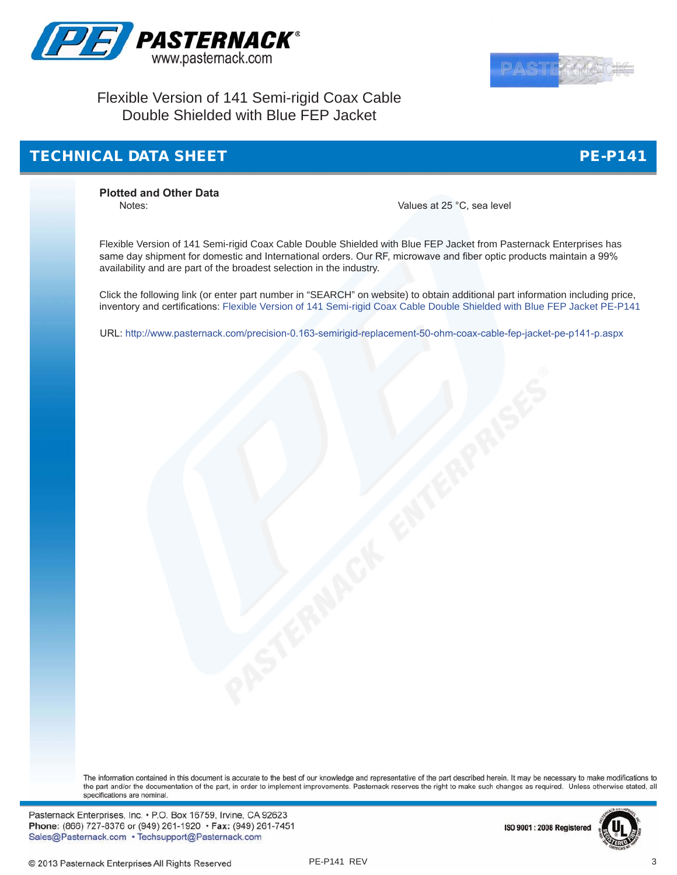



#### Flexible Version of 141 Semi-rigid Coax Cable Double Shielded with Blue FEP Jacket

## TECHNICAL DATA SHEET

PE-P141

**Plotted and Other Data**

Values at 25 °C, sea level

Flexible Version of 141 Semi-rigid Coax Cable Double Shielded with Blue FEP Jacket from Pasternack Enterprises has same day shipment for domestic and International orders. Our RF, microwave and fiber optic products maintain a 99% availability and are part of the broadest selection in the industry.

Click the following link (or enter part number in "SEARCH" on website) to obtain additional part information including price, inventory and certifications: [Flexible Version of 141 Semi-rigid Coax Cable Double Shielded with Blue FEP Jacket PE-P141](http://www.pasternack.com/precision-0.163-semirigid-replacement-50-ohm-coax-cable-fep-jacket-pe-p141-p.aspx)

URL:<http://www.pasternack.com/precision-0.163-semirigid-replacement-50-ohm-coax-cable-fep-jacket-pe-p141-p.aspx>

The information contained in this document is accurate to the best of our knowledge and representative of the part described herein. It may be necessary to make modifications to the part and/or the documentation of the part, in order to implement improvements. Pasternack reserves the right to make such changes as required. Unless otherwise stated, all specifications are nominal.

Pasternack Enterprises, Inc. • P.O. Box 16759, Irvine, CA 92623 Phone: (866) 727-8376 or (949) 261-1920 • Fax: (949) 261-7451 Sales@Pasternack.com • Techsupport@Pasternack.com